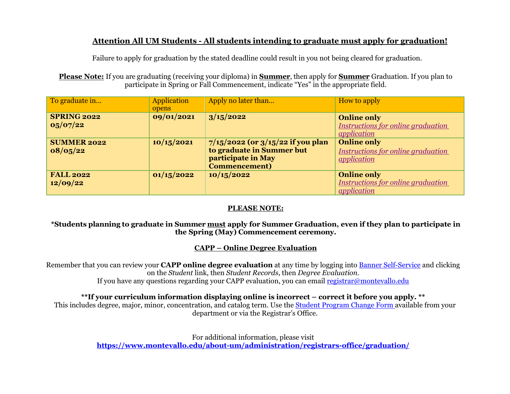# **Attention All UM Students - All students intending to graduate must apply for graduation!**

Failure to apply for graduation by the stated deadline could result in you not being cleared for graduation.

**Please Note:** If you are graduating (receiving your diploma) in **Summer**, then apply for **Summer** Graduation. If you plan to participate in Spring or Fall Commencement, indicate "Yes" in the appropriate field.

| To graduate in                 | <b>Application</b><br>opens | Apply no later than                                                                                               | How to apply                                                                          |
|--------------------------------|-----------------------------|-------------------------------------------------------------------------------------------------------------------|---------------------------------------------------------------------------------------|
| <b>SPRING 2022</b><br>05/07/22 | 09/01/2021                  | 3/15/2022                                                                                                         | <b>Online only</b><br>Instructions for online graduation<br><i><u>application</u></i> |
| <b>SUMMER 2022</b><br>08/05/22 | 10/15/2021                  | $7/15/2022$ (or $3/15/22$ if you plan<br>to graduate in Summer but<br>participate in May<br><b>Commencement</b> ) | <b>Online only</b><br>Instructions for online graduation<br><i>application</i>        |
| <b>FALL 2022</b><br>12/09/22   | 01/15/2022                  | 10/15/2022                                                                                                        | <b>Online only</b><br>Instructions for online graduation<br><i><u>application</u></i> |

## **PLEASE NOTE:**

#### **\*Students planning to graduate in Summer must apply for Summer Graduation, even if they plan to participate in the Spring (May) Commencement ceremony.**

## **CAPP – Online Degree Evaluation**

Remember that you can review your **CAPP online degree evaluation** at any time by logging into [Banner Self-Service](https://umbanapp.montevallo.edu:8445/ssomanager/c/SSB) and clicking on the *Student* link, then *Student Records*, then *Degree Evaluation*. If you have any questions regarding your CAPP evaluation, you can emai[l registrar@montevallo.edu](mailto:registrar@montevallo.edu)

#### **\*\*If your curriculum information displaying online is incorrect – correct it before you apply. \*\***

This includes degree, major, minor, concentration, and catalog term. Use the [Student Program Change Form a](https://www.montevallo.edu/wp-content/uploads/2018/11/Student-Program-Change-Form-Change-of-Majorrevised.pdf)vailable from your department or via the Registrar's Office.

> For additional information, please visit **<https://www.montevallo.edu/about-um/administration/registrars-office/graduation/>**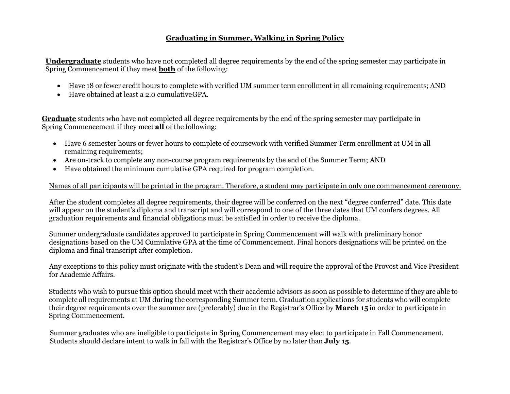### **Graduating in Summer, Walking in Spring Policy**

**Undergraduate** students who have not completed all degree requirements by the end of the spring semester may participate in Spring Commencement if they meet **both** of the following:

- Have 18 or fewer credit hours to complete with verified UM summer term enrollment in all remaining requirements; AND
- Have obtained at least a 2.0 cumulativeGPA.

**Graduate** students who have not completed all degree requirements by the end of the spring semester may participate in Spring Commencement if they meet **all** of the following:

- Have 6 semester hours or fewer hours to complete of coursework with verified Summer Term enrollment at UM in all remaining requirements;
- Are on-track to complete any non-course program requirements by the end of the Summer Term; AND
- Have obtained the minimum cumulative GPA required for program completion.

#### Names of all participants will be printed in the program. Therefore, a student may participate in only one commencement ceremony.

After the student completes all degree requirements, their degree will be conferred on the next "degree conferred" date. This date will appear on the student's diploma and transcript and will correspond to one of the three dates that UM confers degrees. All graduation requirements and financial obligations must be satisfied in order to receive the diploma.

Summer undergraduate candidates approved to participate in Spring Commencement will walk with preliminary honor designations based on the UM Cumulative GPA at the time of Commencement. Final honors designations will be printed on the diploma and final transcript after completion.

Any exceptions to this policy must originate with the student's Dean and will require the approval of the Provost and Vice President for Academic Affairs.

Students who wish to pursue this option should meet with their academic advisors as soon as possible to determine if they are able to complete all requirements at UM during the corresponding Summer term. Graduation applications for students who will complete their degree requirements over the summer are (preferably) due in the Registrar's Office by **March 15** in order to participate in Spring Commencement.

Summer graduates who are ineligible to participate in Spring Commencement may elect to participate in Fall Commencement. Students should declare intent to walk in fall with the Registrar's Office by no later than **July 15**.